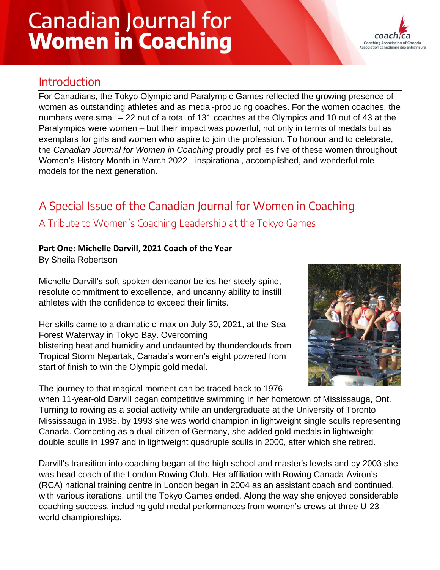# **Canadian Journal for Women in Coaching**



## Introduction

For Canadians, the Tokyo Olympic and Paralympic Games reflected the growing presence of women as outstanding athletes and as medal-producing coaches. For the women coaches, the numbers were small – 22 out of a total of 131 coaches at the Olympics and 10 out of 43 at the Paralympics were women – but their impact was powerful, not only in terms of medals but as exemplars for girls and women who aspire to join the profession. To honour and to celebrate, the *Canadian Journal for Women in Coaching* proudly profiles five of these women throughout Women's History Month in March 2022 - inspirational, accomplished, and wonderful role models for the next generation.

# A Special Issue of the Canadian Journal for Women in Coaching

### A Tribute to Women's Coaching Leadership at the Tokyo Games

#### **Part One: Michelle Darvill, 2021 Coach of the Year**

By Sheila Robertson

Michelle Darvill's soft-spoken demeanor belies her steely spine, resolute commitment to excellence, and uncanny ability to instill athletes with the confidence to exceed their limits.

Her skills came to a dramatic climax on July 30, 2021, at the Sea Forest Waterway in Tokyo Bay. Overcoming blistering heat and humidity and undaunted by thunderclouds from Tropical Storm Nepartak, Canada's women's eight powered from start of finish to win the Olympic gold medal.

The journey to that magical moment can be traced back to 1976



when 11-year-old Darvill began competitive swimming in her hometown of Mississauga, Ont. Turning to rowing as a social activity while an undergraduate at the University of Toronto Mississauga in 1985, by 1993 she was world champion in lightweight single sculls representing Canada. Competing as a dual citizen of Germany, she added gold medals in lightweight double sculls in 1997 and in lightweight quadruple sculls in 2000, after which she retired.

Darvill's transition into coaching began at the high school and master's levels and by 2003 she was head coach of the London Rowing Club. Her affiliation with Rowing Canada Aviron's (RCA) national training centre in London began in 2004 as an assistant coach and continued, with various iterations, until the Tokyo Games ended. Along the way she enjoyed considerable coaching success, including gold medal performances from women's crews at three U-23 world championships.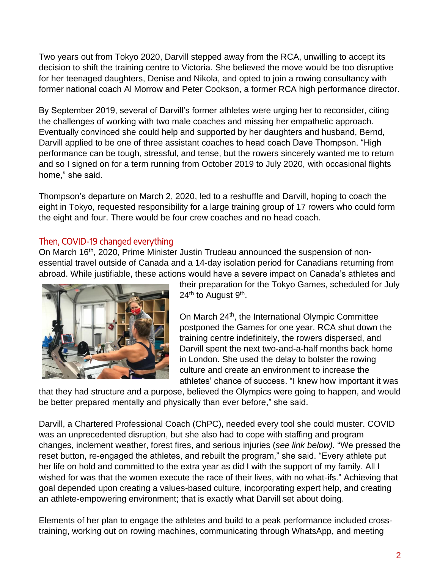Two years out from Tokyo 2020, Darvill stepped away from the RCA, unwilling to accept its decision to shift the training centre to Victoria. She believed the move would be too disruptive for her teenaged daughters, Denise and Nikola, and opted to join a rowing consultancy with former national coach Al Morrow and Peter Cookson, a former RCA high performance director.

By September 2019, several of Darvill's former athletes were urging her to reconsider, citing the challenges of working with two male coaches and missing her empathetic approach. Eventually convinced she could help and supported by her daughters and husband, Bernd, Darvill applied to be one of three assistant coaches to head coach Dave Thompson. "High performance can be tough, stressful, and tense, but the rowers sincerely wanted me to return and so I signed on for a term running from October 2019 to July 2020, with occasional flights home," she said.

Thompson's departure on March 2, 2020, led to a reshuffle and Darvill, hoping to coach the eight in Tokyo, requested responsibility for a large training group of 17 rowers who could form the eight and four. There would be four crew coaches and no head coach.

#### Then, COVID-19 changed everything

On March 16<sup>th</sup>, 2020, Prime Minister Justin Trudeau announced the suspension of nonessential travel outside of Canada and a 14-day isolation period for Canadians returning from abroad. While justifiable, these actions would have a severe impact on Canada's athletes and



their preparation for the Tokyo Games, scheduled for July 24<sup>th</sup> to August 9<sup>th</sup>.

On March 24th, the International Olympic Committee postponed the Games for one year. RCA shut down the training centre indefinitely, the rowers dispersed, and Darvill spent the next two-and-a-half months back home in London. She used the delay to bolster the rowing culture and create an environment to increase the athletes' chance of success. "I knew how important it was

that they had structure and a purpose, believed the Olympics were going to happen, and would be better prepared mentally and physically than ever before," she said.

Darvill, a Chartered Professional Coach (ChPC), needed every tool she could muster. COVID was an unprecedented disruption, but she also had to cope with staffing and program changes, inclement weather, forest fires, and serious injuries (*see link below).* "We pressed the reset button, re-engaged the athletes, and rebuilt the program," she said. "Every athlete put her life on hold and committed to the extra year as did I with the support of my family. All I wished for was that the women execute the race of their lives, with no what-ifs." Achieving that goal depended upon creating a values-based culture, incorporating expert help, and creating an athlete-empowering environment; that is exactly what Darvill set about doing.

Elements of her plan to engage the athletes and build to a peak performance included crosstraining, working out on rowing machines, communicating through WhatsApp, and meeting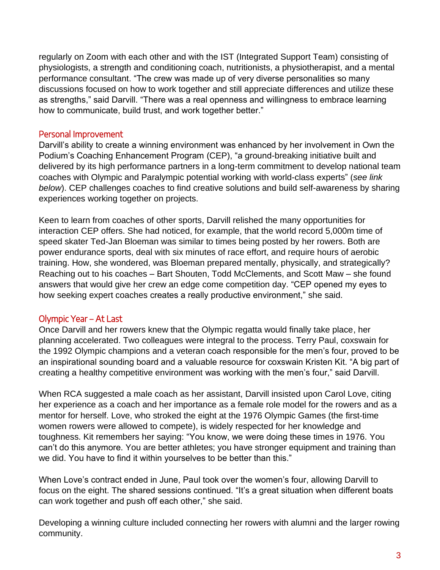regularly on Zoom with each other and with the IST (Integrated Support Team) consisting of physiologists, a strength and conditioning coach, nutritionists, a physiotherapist, and a mental performance consultant. "The crew was made up of very diverse personalities so many discussions focused on how to work together and still appreciate differences and utilize these as strengths," said Darvill. "There was a real openness and willingness to embrace learning how to communicate, build trust, and work together better."

#### Personal Improvement

Darvill's ability to create a winning environment was enhanced by her involvement in Own the Podium's Coaching Enhancement Program (CEP), "a ground-breaking initiative built and delivered by its high performance partners in a long-term commitment to develop national team coaches with Olympic and Paralympic potential working with world-class experts" (*see link below*). CEP challenges coaches to find creative solutions and build self-awareness by sharing experiences working together on projects.

Keen to learn from coaches of other sports, Darvill relished the many opportunities for interaction CEP offers. She had noticed, for example, that the world record 5,000m time of speed skater Ted-Jan Bloeman was similar to times being posted by her rowers. Both are power endurance sports, deal with six minutes of race effort, and require hours of aerobic training. How, she wondered, was Bloeman prepared mentally, physically, and strategically? Reaching out to his coaches – Bart Shouten, Todd McClements, and Scott Maw – she found answers that would give her crew an edge come competition day. "CEP opened my eyes to how seeking expert coaches creates a really productive environment," she said.

#### Olympic Year – At Last

Once Darvill and her rowers knew that the Olympic regatta would finally take place, her planning accelerated. Two colleagues were integral to the process. Terry Paul, coxswain for the 1992 Olympic champions and a veteran coach responsible for the men's four, proved to be an inspirational sounding board and a valuable resource for coxswain Kristen Kit. "A big part of creating a healthy competitive environment was working with the men's four," said Darvill.

When RCA suggested a male coach as her assistant, Darvill insisted upon Carol Love, citing her experience as a coach and her importance as a female role model for the rowers and as a mentor for herself. Love, who stroked the eight at the 1976 Olympic Games (the first-time women rowers were allowed to compete), is widely respected for her knowledge and toughness. Kit remembers her saying: "You know, we were doing these times in 1976. You can't do this anymore. You are better athletes; you have stronger equipment and training than we did. You have to find it within yourselves to be better than this."

When Love's contract ended in June, Paul took over the women's four, allowing Darvill to focus on the eight. The shared sessions continued. "It's a great situation when different boats can work together and push off each other," she said.

Developing a winning culture included connecting her rowers with alumni and the larger rowing community.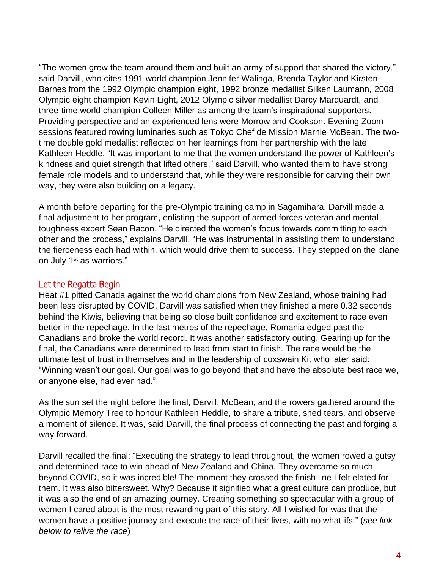"The women grew the team around them and built an army of support that shared the victory," said Darvill, who cites 1991 world champion Jennifer Walinga, Brenda Taylor and Kirsten Barnes from the 1992 Olympic champion eight, 1992 bronze medallist Silken Laumann, 2008 Olympic eight champion Kevin Light, 2012 Olympic silver medallist Darcy Marquardt, and three-time world champion Colleen Miller as among the team's inspirational supporters. Providing perspective and an experienced lens were Morrow and Cookson. Evening Zoom sessions featured rowing luminaries such as Tokyo Chef de Mission Marnie McBean. The twotime double gold medallist reflected on her learnings from her partnership with the late Kathleen Heddle. "It was important to me that the women understand the power of Kathleen's kindness and quiet strength that lifted others," said Darvill, who wanted them to have strong female role models and to understand that, while they were responsible for carving their own way, they were also building on a legacy.

A month before departing for the pre-Olympic training camp in Sagamihara, Darvill made a final adjustment to her program, enlisting the support of armed forces veteran and mental toughness expert Sean Bacon. "He directed the women's focus towards committing to each other and the process," explains Darvill. "He was instrumental in assisting them to understand the fierceness each had within, which would drive them to success. They stepped on the plane on July 1<sup>st</sup> as warriors."

#### Let the Regatta Begin

Heat #1 pitted Canada against the world champions from New Zealand, whose training had been less disrupted by COVID. Darvill was satisfied when they finished a mere 0.32 seconds behind the Kiwis, believing that being so close built confidence and excitement to race even better in the repechage. In the last metres of the repechage, Romania edged past the Canadians and broke the world record. It was another satisfactory outing. Gearing up for the final, the Canadians were determined to lead from start to finish. The race would be the ultimate test of trust in themselves and in the leadership of coxswain Kit who later said: "Winning wasn't our goal. Our goal was to go beyond that and have the absolute best race we, or anyone else, had ever had."

As the sun set the night before the final, Darvill, McBean, and the rowers gathered around the Olympic Memory Tree to honour Kathleen Heddle, to share a tribute, shed tears, and observe a moment of silence. It was, said Darvill, the final process of connecting the past and forging a way forward.

Darvill recalled the final: "Executing the strategy to lead throughout, the women rowed a gutsy and determined race to win ahead of New Zealand and China. They overcame so much beyond COVID, so it was incredible! The moment they crossed the finish line I felt elated for them. It was also bittersweet. Why? Because it signified what a great culture can produce, but it was also the end of an amazing journey. Creating something so spectacular with a group of women I cared about is the most rewarding part of this story. All I wished for was that the women have a positive journey and execute the race of their lives, with no what-ifs." (*see link below to relive the race*)